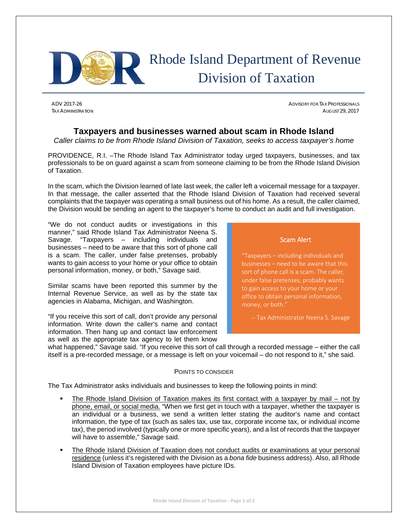

## Rhode Island Department of Revenue Division of Taxation

ADV 2017-26 ADVISORY FOR TAX PROFESSIONALS TAX ADMINISTRATION AUGUST 29, 2017

## **Taxpayers and businesses warned about scam in Rhode Island**

*Caller claims to be from Rhode Island Division of Taxation, seeks to access taxpayer's home*

PROVIDENCE, R.I. –The Rhode Island Tax Administrator today urged taxpayers, businesses, and tax professionals to be on guard against a scam from someone claiming to be from the Rhode Island Division of Taxation.

In the scam, which the Division learned of late last week, the caller left a voicemail message for a taxpayer. In that message, the caller asserted that the Rhode Island Division of Taxation had received several complaints that the taxpayer was operating a small business out of his home. As a result, the caller claimed, the Division would be sending an agent to the taxpayer's home to conduct an audit and full investigation.

"We do not conduct audits or investigations in this manner," said Rhode Island Tax Administrator Neena S. Savage. "Taxpayers – including individuals and businesses – need to be aware that this sort of phone call is a scam. The caller, under false pretenses, probably wants to gain access to your home or your office to obtain personal information, money, or both," Savage said.

Similar scams have been reported this summer by the Internal Revenue Service, as well as by the state tax agencies in Alabama, Michigan, and Washington.

"If you receive this sort of call, don't provide any personal information. Write down the caller's name and contact information. Then hang up and contact law enforcement as well as the appropriate tax agency to let them know

Scam Alert

"Taxpayers – including individuals and businesses – need to be aware that this to gain access to your home or your money, or both."

‐‐ Tax Administrator Neena S. Savage

what happened," Savage said. "If you receive this sort of call through a recorded message – either the call itself is a pre-recorded message, or a message is left on your voicemail – do not respond to it," she said.

## POINTS TO CONSIDER

The Tax Administrator asks individuals and businesses to keep the following points in mind:

- The Rhode Island Division of Taxation makes its first contact with a taxpayer by mail not by phone, email, or social media. "When we first get in touch with a taxpayer, whether the taxpayer is an individual or a business, we send a written letter stating the auditor's name and contact information, the type of tax (such as sales tax, use tax, corporate income tax, or individual income tax), the period involved (typically one or more specific years), and a list of records that the taxpayer will have to assemble," Savage said.
- The Rhode Island Division of Taxation does not conduct audits or examinations at your personal residence (unless it's registered with the Division as a *bona fide* business address). Also, all Rhode Island Division of Taxation employees have picture IDs.